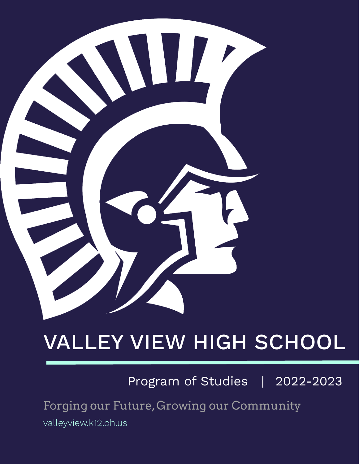

# VALLEY VIEW HIGH SCHOOL

Program of Studies | 2022-2023

Forging our Future, Growing our Community

valleyview.k12.oh.us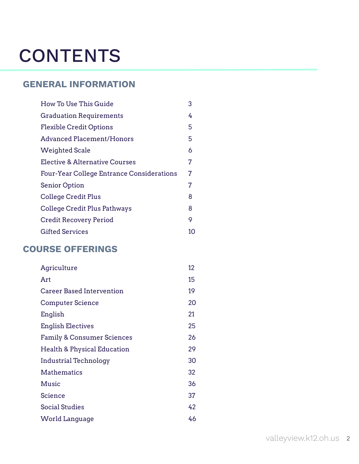# <span id="page-1-0"></span>**CONTENTS**

## **GENERAL INFORMATION**

| How To Use This Guide                            | 3  |
|--------------------------------------------------|----|
| <b>Graduation Requirements</b>                   | 4  |
| <b>Flexible Credit Options</b>                   | 5  |
| Advanced Placement/Honors                        | 5  |
| <b>Weighted Scale</b>                            | 6  |
| Elective & Alternative Courses                   | 7  |
| <b>Four-Year College Entrance Considerations</b> | 7  |
| <b>Senior Option</b>                             | 7  |
| College Credit Plus                              | 8  |
| College Credit Plus Pathways                     | 8  |
| Credit Recovery Period                           | 9  |
| Gifted Services                                  | 10 |

## **COURSE OFFERINGS**

| Agriculture                            | 12 |
|----------------------------------------|----|
| Art                                    | 15 |
| <b>Career Based Intervention</b>       | 19 |
| <b>Computer Science</b>                | 20 |
| English                                | 21 |
| <b>English Electives</b>               | 25 |
| <b>Family &amp; Consumer Sciences</b>  | 26 |
| <b>Health &amp; Physical Education</b> | 29 |
| Industrial Technology                  | 30 |
| Mathematics                            | 32 |
| Music                                  | 36 |
| Science                                | 37 |
| <b>Social Studies</b>                  | 42 |
| World Language                         | 46 |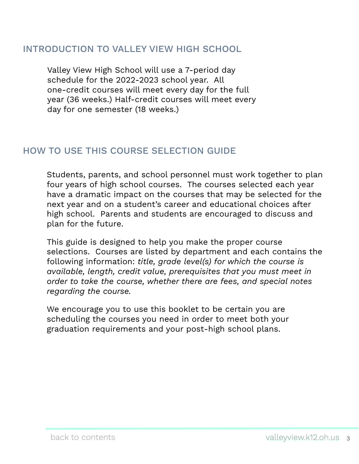## <span id="page-2-0"></span>INTRODUCTION TO VALLEY VIEW HIGH SCHOOL

Valley View High School will use a 7-period day schedule for the 2022-2023 school year. All one-credit courses will meet every day for the full year (36 weeks.) Half-credit courses will meet every day for one semester (18 weeks.)

## HOW TO USE THIS COURSE SELECTION GUIDE

Students, parents, and school personnel must work together to plan four years of high school courses. The courses selected each year have a dramatic impact on the courses that may be selected for the next year and on a student's career and educational choices after high school. Parents and students are encouraged to discuss and plan for the future.

This guide is designed to help you make the proper course selections. Courses are listed by department and each contains the following information: *title, grade level(s) for which the course is available, length, credit value, prerequisites that you must meet in order to take the course, whether there are fees, and special notes regarding the course.* 

We encourage you to use this booklet to be certain you are scheduling the courses you need in order to meet both your graduation requirements and your post-high school plans.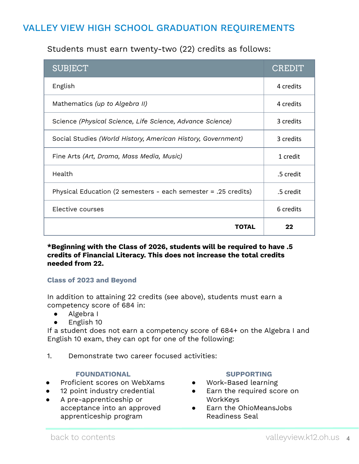## <span id="page-3-0"></span>VALLEY VIEW HIGH SCHOOL GRADUATION REQUIREMENTS

## Students must earn twenty-two (22) credits as follows:

| <b>SUBJECT</b>                                                 | CREDIT    |
|----------------------------------------------------------------|-----------|
| English                                                        | 4 credits |
| Mathematics (up to Algebra II)                                 | 4 credits |
| Science (Physical Science, Life Science, Advance Science)      | 3 credits |
| Social Studies (World History, American History, Government)   | 3 credits |
| Fine Arts (Art, Drama, Mass Media, Music)                      | 1 credit  |
| Health                                                         | .5 credit |
| Physical Education (2 semesters - each semester = .25 credits) | .5 credit |
| Elective courses                                               | 6 credits |
| TOTAL                                                          | フフ        |

**\*Beginning with the Class of 2026, students will be required to have .5 credits of Financial Literacy. This does not increase the total credits needed from 22.**

#### **Class of 2023 and Beyond**

In addition to attaining 22 credits (see above), students must earn a competency score of 684 in:

- Algebra I
- English 10

If a student does not earn a competency score of 684+ on the Algebra I and English 10 exam, they can opt for one of the following:

1. Demonstrate two career focused activities:

#### **FOUNDATIONAL**

- Proficient scores on WebXams
- 12 point industry credential
- A pre-apprenticeship or acceptance into an approved apprenticeship program

#### **SUPPORTING**

- Work-Based learning
- Earn the required score on WorkKeys
- Earn the OhioMeansJobs Readiness Seal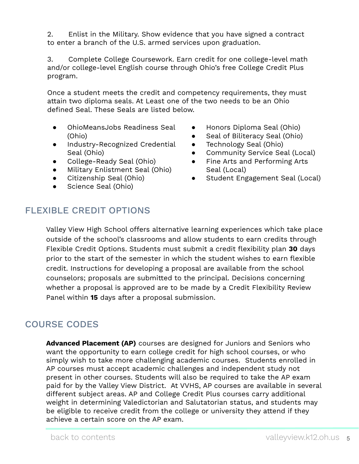<span id="page-4-0"></span>2. Enlist in the Military. Show evidence that you have signed a contract to enter a branch of the U.S. armed services upon graduation.

3. Complete College Coursework. Earn credit for one college-level math and/or college-level English course through Ohio's free College Credit Plus program.

Once a student meets the credit and competency requirements, they must attain two diploma seals. At Least one of the two needs to be an Ohio defined Seal. These Seals are listed below.

- OhioMeansJobs Readiness Seal (Ohio)
- Industry-Recognized Credential Seal (Ohio)
- College-Ready Seal (Ohio)
- Military Enlistment Seal (Ohio)
- Citizenship Seal (Ohio)
- Science Seal (Ohio)
- Honors Diploma Seal (Ohio)
- Seal of Biliteracy Seal (Ohio)
- Technology Seal (Ohio)
- Community Service Seal (Local)
- Fine Arts and Performing Arts Seal (Local)
- Student Engagement Seal (Local)

## FLEXIBLE CREDIT OPTIONS

Valley View High School offers alternative learning experiences which take place outside of the school's classrooms and allow students to earn credits through Flexible Credit Options. Students must submit a credit flexibility plan **30** days prior to the start of the semester in which the student wishes to earn flexible credit. Instructions for developing a proposal are available from the school counselors; proposals are submitted to the principal. Decisions concerning whether a proposal is approved are to be made by a Credit Flexibility Review Panel within **15** days after a proposal submission.

## COURSE CODES

**Advanced Placement (AP)** courses are designed for Juniors and Seniors who want the opportunity to earn college credit for high school courses, or who simply wish to take more challenging academic courses. Students enrolled in AP courses must accept academic challenges and independent study not present in other courses. Students will also be required to take the AP exam paid for by the Valley View District. At VVHS, AP courses are available in several different subject areas. AP and College Credit Plus courses carry additional weight in determining Valedictorian and Salutatorian status, and students may be eligible to receive credit from the college or university they attend if they achieve a certain score on the AP exam.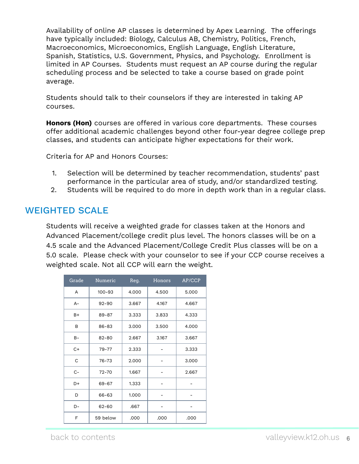<span id="page-5-0"></span>Availability of online AP classes is determined by Apex Learning. The offerings have typically included: Biology, Calculus AB, Chemistry, Politics, French, Macroeconomics, Microeconomics, English Language, English Literature, Spanish, Statistics, U.S. Government, Physics, and Psychology. Enrollment is limited in AP Courses. Students must request an AP course during the regular scheduling process and be selected to take a course based on grade point average.

Students should talk to their counselors if they are interested in taking AP courses.

**Honors (Hon)** courses are offered in various core departments. These courses offer additional academic challenges beyond other four-year degree college prep classes, and students can anticipate higher expectations for their work.

Criteria for AP and Honors Courses:

- 1. Selection will be determined by teacher recommendation, students' past performance in the particular area of study, and/or standardized testing.
- 2. Students will be required to do more in depth work than in a regular class.

## WEIGHTED SCALE

Students will receive a weighted grade for classes taken at the Honors and Advanced Placement/college credit plus level. The honors classes will be on a 4.5 scale and the Advanced Placement/College Credit Plus classes will be on a 5.0 scale. Please check with your counselor to see if your CCP course receives a weighted scale. Not all CCP will earn the weight.

| Grade | Numeric    | Reg.  | Honors | AP/CCP |
|-------|------------|-------|--------|--------|
| A     | $100 - 93$ | 4.000 | 4.500  | 5.000  |
| $A -$ | $92 - 90$  | 3.667 | 4.167  | 4.667  |
| $B+$  | 89-87      | 3.333 | 3.833  | 4.333  |
| B     | 86-83      | 3.000 | 3.500  | 4.000  |
| $B -$ | 82-80      | 2.667 | 3.167  | 3.667  |
| $C+$  | 79-77      | 2.333 |        | 3.333  |
| C     | 76-73      | 2.000 |        | 3.000  |
| $C -$ | 72-70      | 1.667 |        | 2.667  |
| D+    | 69-67      | 1.333 |        |        |
| D     | 66-63      | 1.000 |        |        |
| D-    | 62-60      | .667  |        |        |
| F     | 59 below   | .000  | .000   | .000   |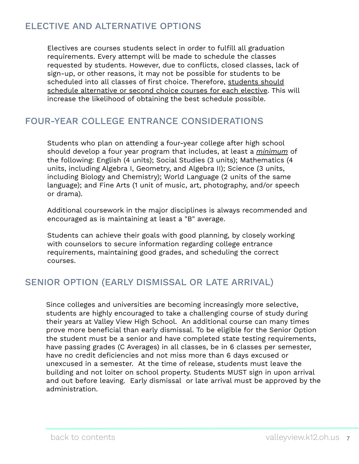## <span id="page-6-0"></span>ELECTIVE AND ALTERNATIVE OPTIONS

Electives are courses students select in order to fulfill all graduation requirements. Every attempt will be made to schedule the classes requested by students. However, due to conflicts, closed classes, lack of sign-up, or other reasons, it may not be possible for students to be scheduled into all classes of first choice. Therefore, students should schedule alternative or second choice courses for each elective. This will increase the likelihood of obtaining the best schedule possible.

## FOUR-YEAR COLLEGE ENTRANCE CONSIDERATIONS

Students who plan on attending a four-year college after high school should develop a four year program that includes, at least a *minimum* of the following: English (4 units); Social Studies (3 units); Mathematics (4 units, including Algebra I, Geometry, and Algebra II); Science (3 units, including Biology and Chemistry); World Language (2 units of the same language); and Fine Arts (1 unit of music, art, photography, and/or speech or drama).

Additional coursework in the major disciplines is always recommended and encouraged as is maintaining at least a "B" average.

Students can achieve their goals with good planning, by closely working with counselors to secure information regarding college entrance requirements, maintaining good grades, and scheduling the correct courses.

## SENIOR OPTION (EARLY DISMISSAL OR LATE ARRIVAL)

Since colleges and universities are becoming increasingly more selective, students are highly encouraged to take a challenging course of study during their years at Valley View High School. An additional course can many times prove more beneficial than early dismissal. To be eligible for the Senior Option the student must be a senior and have completed state testing requirements, have passing grades (C Averages) in all classes, be in 6 classes per semester, have no credit deficiencies and not miss more than 6 days excused or unexcused in a semester. At the time of release, students must leave the building and not loiter on school property. Students MUST sign in upon arrival and out before leaving. Early dismissal or late arrival must be approved by the administration.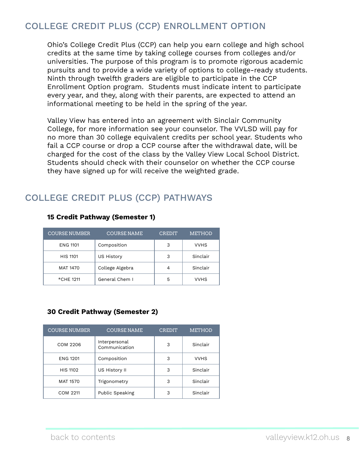## <span id="page-7-0"></span>COLLEGE CREDIT PLUS (CCP) ENROLLMENT OPTION

Ohio's College Credit Plus (CCP) can help you earn college and high school credits at the same time by taking college courses from colleges and/or universities. The purpose of this program is to promote rigorous academic pursuits and to provide a wide variety of options to college-ready students. Ninth through twelfth graders are eligible to participate in the CCP Enrollment Option program. Students must indicate intent to participate every year, and they, along with their parents, are expected to attend an informational meeting to be held in the spring of the year.

Valley View has entered into an agreement with Sinclair Community College, for more information see your counselor. The VVLSD will pay for no more than 30 college equivalent credits per school year. Students who fail a CCP course or drop a CCP course after the withdrawal date, will be charged for the cost of the class by the Valley View Local School District. Students should check with their counselor on whether the CCP course they have signed up for will receive the weighted grade.

## COLLEGE CREDIT PLUS (CCP) PATHWAYS

| <b>COURSE NUMBER</b> | <b>COURSE NAME</b> | <b>CREDIT</b> | <b>METHOD</b> |
|----------------------|--------------------|---------------|---------------|
| <b>ENG 1101</b>      | Composition        | 3             | <b>VVHS</b>   |
| <b>HIS 1101</b>      | <b>US History</b>  | 3             | Sinclair      |
| MAT 1470             | College Algebra    | 4             | Sinclair      |
| *CHE 1211            | General Chem I     | 5             | <b>VVHS</b>   |

#### **15 Credit Pathway (Semester 1)**

## **30 Credit Pathway (Semester 2)**

| <b>COURSE NUMBER</b> | <b>COURSE NAME</b>             | <b>CREDIT</b> | <b>METHOD</b> |
|----------------------|--------------------------------|---------------|---------------|
| COM 2206             | Interpersonal<br>Communication | 3             | Sinclair      |
| <b>ENG 1201</b>      | Composition                    | 3             | <b>VVHS</b>   |
| <b>HIS 1102</b>      | US History II                  | 3             | Sinclair      |
| <b>MAT 1570</b>      | Trigonometry                   | 3             | Sinclair      |
| COM 2211             | <b>Public Speaking</b>         | 3             | Sinclair      |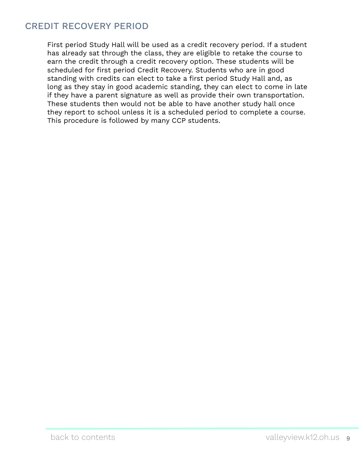## <span id="page-8-0"></span>CREDIT RECOVERY PERIOD

First period Study Hall will be used as a credit recovery period. If a student has already sat through the class, they are eligible to retake the course to earn the credit through a credit recovery option. These students will be scheduled for first period Credit Recovery. Students who are in good standing with credits can elect to take a first period Study Hall and, as long as they stay in good academic standing, they can elect to come in late if they have a parent signature as well as provide their own transportation. These students then would not be able to have another study hall once they report to school unless it is a scheduled period to complete a course. This procedure is followed by many CCP students.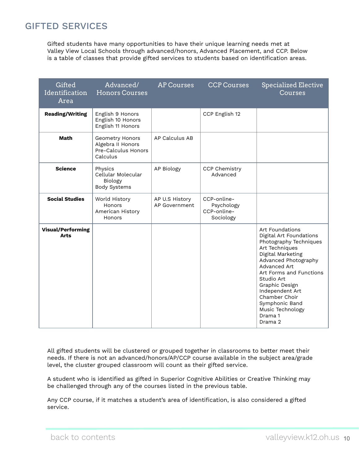## <span id="page-9-0"></span>GIFTED SERVICES

Gifted students have many opportunities to have their unique learning needs met at Valley View Local Schools through advanced/honors, Advanced Placement, and CCP. Below is a table of classes that provide gifted services to students based on identification areas.

| Gifted<br><b>Identification</b><br>Area | Advanced/<br><b>Honors Courses</b>                                      | <b>AP Courses</b>               | <b>CCP Courses</b>                                    | <b>Specialized Elective</b><br>Courses                                                                                                                                                                                                                                                                         |
|-----------------------------------------|-------------------------------------------------------------------------|---------------------------------|-------------------------------------------------------|----------------------------------------------------------------------------------------------------------------------------------------------------------------------------------------------------------------------------------------------------------------------------------------------------------------|
| <b>Reading/Writing</b>                  | English 9 Honors<br>English 10 Honors<br>English 11 Honors              |                                 | CCP English 12                                        |                                                                                                                                                                                                                                                                                                                |
| <b>Math</b>                             | Geometry Honors<br>Algebra II Honors<br>Pre-Calculus Honors<br>Calculus | AP Calculus AB                  |                                                       |                                                                                                                                                                                                                                                                                                                |
| <b>Science</b>                          | Physics<br>Cellular Molecular<br>Biology<br><b>Body Systems</b>         | AP Biology                      | <b>CCP Chemistry</b><br>Advanced                      |                                                                                                                                                                                                                                                                                                                |
| <b>Social Studies</b>                   | World History<br>Honors<br>American History<br>Honors                   | AP U.S History<br>AP Government | CCP-online-<br>Psychology<br>CCP-online-<br>Sociology |                                                                                                                                                                                                                                                                                                                |
| <b>Visual/Performing</b><br><b>Arts</b> |                                                                         |                                 |                                                       | Art Foundations<br>Digital Art Foundations<br>Photography Techniques<br>Art Techniques<br>Digital Marketing<br>Advanced Photography<br>Advanced Art<br>Art Forms and Functions<br>Studio Art<br>Graphic Design<br>Independent Art<br>Chamber Choir<br>Symphonic Band<br>Music Technology<br>Drama 1<br>Drama 2 |

All gifted students will be clustered or grouped together in classrooms to better meet their needs. If there is not an advanced/honors/AP/CCP course available in the subject area/grade level, the cluster grouped classroom will count as their gifted service.

A student who is identified as gifted in Superior Cognitive Abilities or Creative Thinking may be challenged through any of the courses listed in the previous table.

Any CCP course, if it matches a student's area of identification, is also considered a gifted service.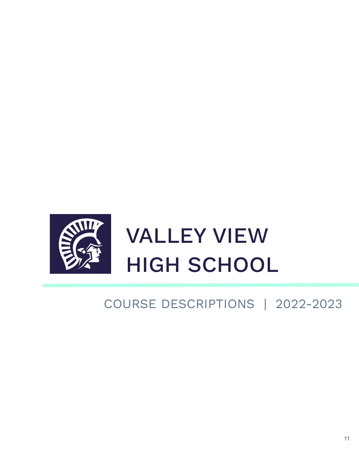

# COURSE DESCRIPTIONS | 2022-2023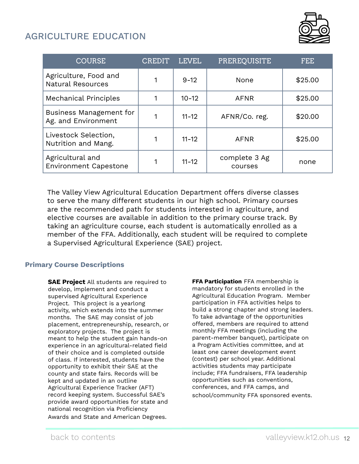## <span id="page-11-0"></span>AGRICULTURE EDUCATION



| <b>COURSE</b>                                     | CREDIT | <b>LEVEL</b> | PREREQUISITE             | FEE.    |
|---------------------------------------------------|--------|--------------|--------------------------|---------|
| Agriculture, Food and<br><b>Natural Resources</b> |        | $9 - 12$     | None                     | \$25.00 |
| <b>Mechanical Principles</b>                      |        | $10 - 12$    | <b>AFNR</b>              | \$25.00 |
| Business Management for<br>Ag. and Environment    |        | $11 - 12$    | AFNR/Co. reg.            | \$20.00 |
| Livestock Selection,<br>Nutrition and Mang.       |        | $11 - 12$    | <b>AFNR</b>              | \$25.00 |
| Agricultural and<br><b>Environment Capestone</b>  |        | $11 - 12$    | complete 3 Ag<br>courses | none    |

The Valley View Agricultural Education Department offers diverse classes to serve the many different students in our high school. Primary courses are the recommended path for students interested in agriculture, and elective courses are available in addition to the primary course track. By taking an agriculture course, each student is automatically enrolled as a member of the FFA. Additionally, each student will be required to complete a Supervised Agricultural Experience (SAE) project.

#### **Primary Course Descriptions**

**SAE Project** All students are required to develop, implement and conduct a supervised Agricultural Experience Project. This project is a yearlong activity, which extends into the summer months. The SAE may consist of job placement, entrepreneurship, research, or exploratory projects. The project is meant to help the student gain hands-on experience in an agricultural-related field of their choice and is completed outside of class. If interested, students have the opportunity to exhibit their SAE at the county and state fairs. Records will be kept and updated in an outline Agricultural Experience Tracker (AFT) record keeping system. Successful SAE's provide award opportunities for state and national recognition via Proficiency Awards and State and American Degrees.

**FFA Participation** FFA membership is mandatory for students enrolled in the Agricultural Education Program. Member participation in FFA activities helps to build a strong chapter and strong leaders. To take advantage of the opportunities offered, members are required to attend monthly FFA meetings (including the parent-member banquet), participate on a Program Activities committee, and at least one career development event (contest) per school year. Additional activities students may participate include; FFA fundraisers, FFA leadership opportunities such as conventions, conferences, and FFA camps, and school/community FFA sponsored events.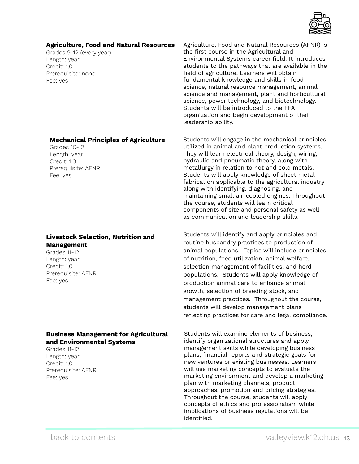

#### **Agriculture, Food and Natural Resources**

Grades 9-12 (every year) Length: year Credit: 1.0 Prerequisite: none Fee: yes

Agriculture, Food and Natural Resources (AFNR) is the first course in the Agricultural and Environmental Systems career field. It introduces students to the pathways that are available in the field of agriculture. Learners will obtain fundamental knowledge and skills in food science, natural resource management, animal science and management, plant and horticultural science, power technology, and biotechnology. Students will be introduced to the FFA organization and begin development of their leadership ability.

#### Students will engage in the mechanical principles utilized in animal and plant production systems. They will learn electrical theory, design, wiring, hydraulic and pneumatic theory, along with metallurgy in relation to hot and cold metals. Students will apply knowledge of sheet metal fabrication applicable to the agricultural industry along with identifying, diagnosing, and maintaining small air-cooled engines. Throughout the course, students will learn critical components of site and personal safety as well as communication and leadership skills.

Students will identify and apply principles and routine husbandry practices to production of animal populations. Topics will include principles of nutrition, feed utilization, animal welfare, selection management of facilities, and herd populations. Students will apply knowledge of production animal care to enhance animal growth, selection of breeding stock, and management practices. Throughout the course, students will develop management plans reflecting practices for care and legal compliance.

Students will examine elements of business, identify organizational structures and apply management skills while developing business plans, financial reports and strategic goals for new ventures or existing businesses. Learners will use marketing concepts to evaluate the marketing environment and develop a marketing plan with marketing channels, product approaches, promotion and pricing strategies. Throughout the course, students will apply concepts of ethics and professionalism while implications of business regulations will be identified.

#### **Mechanical Principles of Agriculture**

Grades 10-12 Length: year Credit: 1.0 Prerequisite: AFNR Fee: yes

#### **Livestock Selection, Nutrition and Management**

Grades 11-12 Length: year Credit: 1.0 Prerequisite: AFNR Fee: yes

#### **Business Management for Agricultural and Environmental Systems**

Grades 11-12 Length: year Credit: 1.0 Prerequisite: AFNR Fee: yes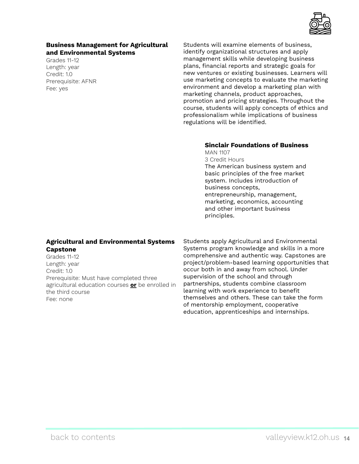

#### **Business Management for Agricultural and Environmental Systems**

Grades 11-12 Length: year Credit: 1.0 Prerequisite: AFNR Fee: yes

Students will examine elements of business, identify organizational structures and apply management skills while developing business plans, financial reports and strategic goals for new ventures or existing businesses. Learners will use marketing concepts to evaluate the marketing environment and develop a marketing plan with marketing channels, product approaches, promotion and pricing strategies. Throughout the course, students will apply concepts of ethics and professionalism while implications of business regulations will be identified.

## **Sinclair Foundations of Business**

MAN 1107 3 Credit Hours The American business system and basic principles of the free market system. Includes introduction of business concepts, entrepreneurship, management, marketing, economics, accounting and other important business principles.

#### **Agricultural and Environmental Systems Capstone**

Grades 11-12 Length: year Credit: 1.0 Prerequisite: Must have completed three agricultural education courses **or** be enrolled in the third course Fee: none

Students apply Agricultural and Environmental Systems program knowledge and skills in a more comprehensive and authentic way. Capstones are project/problem-based learning opportunities that occur both in and away from school. Under supervision of the school and through partnerships, students combine classroom learning with work experience to benefit themselves and others. These can take the form of mentorship employment, cooperative education, apprenticeships and internships.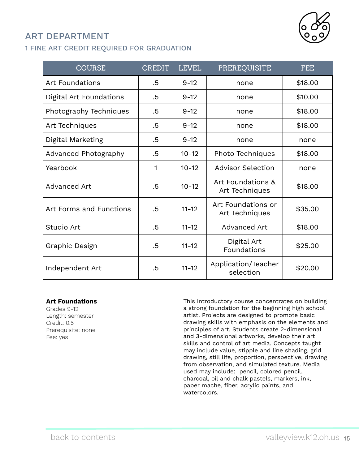# <span id="page-14-0"></span>ART DEPARTMENT

## 1 FINE ART CREDIT REQUIRED FOR GRADUATION

| <b>COURSE</b>           | <b>CREDIT</b> | <b>LEVEL</b> | <b>PREREQUISITE</b>                  | <b>FEE</b> |
|-------------------------|---------------|--------------|--------------------------------------|------------|
| <b>Art Foundations</b>  | .5            | $9 - 12$     | none                                 | \$18.00    |
| Digital Art Foundations | $.5\,$        | $9 - 12$     | none                                 | \$10.00    |
| Photography Techniques  | .5            | $9 - 12$     | none                                 | \$18.00    |
| Art Techniques          | .5            | $9 - 12$     | none                                 | \$18.00    |
| Digital Marketing       | .5            | $9 - 12$     | none                                 | none       |
| Advanced Photography    | .5            | $10 - 12$    | Photo Techniques                     | \$18.00    |
| Yearbook                | 1             | $10 - 12$    | <b>Advisor Selection</b>             | none       |
| Advanced Art            | .5            | $10 - 12$    | Art Foundations &<br>Art Techniques  | \$18.00    |
| Art Forms and Functions | .5            | $11 - 12$    | Art Foundations or<br>Art Techniques | \$35.00    |
| Studio Art              | .5            | $11 - 12$    | Advanced Art                         | \$18.00    |
| Graphic Design          | .5            | $11 - 12$    | Digital Art<br>Foundations           | \$25.00    |
| Independent Art         | .5            | $11 - 12$    | Application/Teacher<br>selection     | \$20.00    |

#### **Art Foundations**

Grades 9-12 Length: semester Credit: 0.5 Prerequisite: none Fee: yes

This introductory course concentrates on building a strong foundation for the beginning high school artist. Projects are designed to promote basic drawing skills with emphasis on the elements and principles of art. Students create 2-dimensional and 3-dimensional artworks, develop their art skills and control of art media. Concepts taught may include value, stipple and line shading, grid drawing, still life, proportion, perspective, drawing from observation, and simulated texture. Media used may include: pencil, colored pencil, charcoal, oil and chalk pastels, markers, ink, paper mache, fiber, acrylic paints, and watercolors.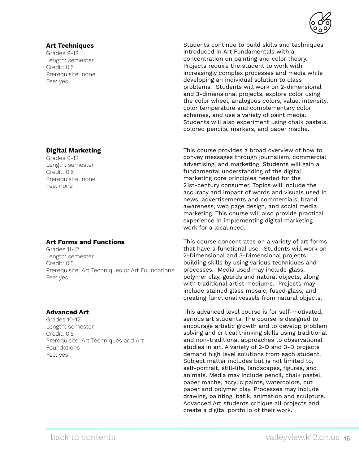#### **Art Techniques**

Grades 9-12 Length: semester Credit: 0.5 Prerequisite: none Fee: yes

#### **Digital Marketing**

Grades 9-12 Length: semester Credit: 0.5 Prerequisite: none Fee: none

#### **Art Forms and Functions**

Grades 11-12 Length: semester Credit: 0.5 Prerequisite: Art Techniques or Art Foundations Fee: yes

#### **Advanced Art**

Grades 10-12 Length: semester Credit: 0.5 Prerequisite: Art Techniques and Art Foundations Fee: yes



This course provides a broad overview of how to convey messages through journalism, commercial advertising, and marketing. Students will gain a fundamental understanding of the digital marketing core principles needed for the 21st-century consumer. Topics will include the accuracy and impact of words and visuals used in news, advertisements and commercials, brand awareness, web page design, and social media marketing. This course will also provide practical experience in implementing digital marketing work for a local need.

This course concentrates on a variety of art forms that have a functional use. Students will work on 2-Dimensional and 3-Dimensional projects building skills by using various techniques and processes. Media used may include glass, polymer clay, gourds and natural objects, along with traditional artist mediums. Projects may include stained glass mosaic, fused glass, and creating functional vessels from natural objects.

This advanced level course is for self-motivated, serious art students. The course is designed to encourage artistic growth and to develop problem solving and critical thinking skills using traditional and non-traditional approaches to observational studies in art. A variety of 2-D and 3-D projects demand high level solutions from each student. Subject matter includes but is not limited to, self-portrait, still-life, landscapes, figures, and animals. Media may include pencil, chalk pastel, paper mache, acrylic paints, watercolors, cut paper and polymer clay. Processes may include drawing, painting, batik, animation and sculpture. Advanced Art students critique all projects and create a digital portfolio of their work.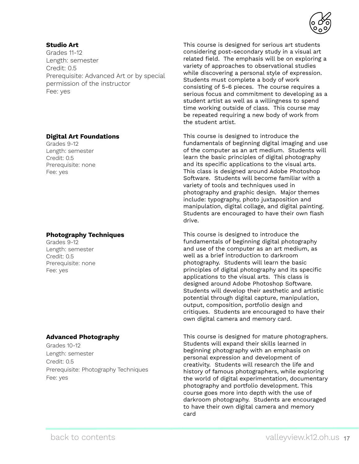

#### **Studio Art**

Grades 11-12 Length: semester Credit: 0.5 Prerequisite: Advanced Art or by special permission of the instructor Fee: yes

#### **Digital Art Foundations**

Grades 9-12 Length: semester Credit: 0.5 Prerequisite: none Fee: yes

#### **Photography Techniques**

Grades 9-12 Length: semester Credit: 0.5 Prerequisite: none Fee: yes

#### **Advanced Photography**

Grades 10-12 Length: semester Credit: 0.5 Prerequisite: Photography Techniques Fee: yes

This course is designed for serious art students considering post-secondary study in a visual art related field. The emphasis will be on exploring a variety of approaches to observational studies while discovering a personal style of expression. Students must complete a body of work consisting of 5-6 pieces. The course requires a serious focus and commitment to developing as a student artist as well as a willingness to spend time working outside of class. This course may be repeated requiring a new body of work from the student artist.

This course is designed to introduce the fundamentals of beginning digital imaging and use of the computer as an art medium. Students will learn the basic principles of digital photography and its specific applications to the visual arts. This class is designed around Adobe Photoshop Software. Students will become familiar with a variety of tools and techniques used in photography and graphic design. Major themes include: typography, photo juxtaposition and manipulation, digital collage, and digital painting. Students are encouraged to have their own flash drive.

This course is designed to introduce the fundamentals of beginning digital photography and use of the computer as an art medium, as well as a brief introduction to darkroom photography. Students will learn the basic principles of digital photography and its specific applications to the visual arts. This class is designed around Adobe Photoshop Software. Students will develop their aesthetic and artistic potential through digital capture, manipulation, output, composition, portfolio design and critiques. Students are encouraged to have their own digital camera and memory card.

This course is designed for mature photographers. Students will expand their skills learned in beginning photography with an emphasis on personal expression and development of creativity. Students will research the life and history of famous photographers, while exploring the world of digital experimentation, documentary photography and portfolio development. This course goes more into depth with the use of darkroom photography. Students are encouraged to have their own digital camera and memory card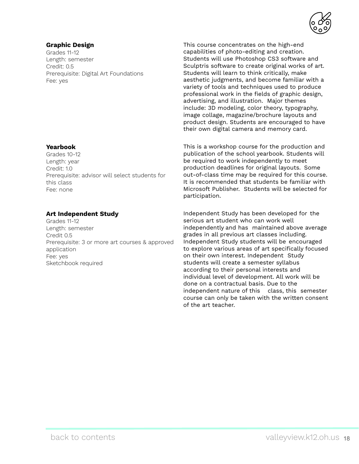#### **Graphic Design**

Grades 11-12 Length: semester Credit: 0.5 Prerequisite: Digital Art Foundations Fee: yes

This course concentrates on the high-end capabilities of photo-editing and creation. Students will use Photoshop CS3 software and Sculptris software to create original works of art. Students will learn to think critically, make aesthetic judgments, and become familiar with a variety of tools and techniques used to produce professional work in the fields of graphic design, advertising, and illustration. Major themes include: 3D modeling, color theory, typography, image collage, magazine/brochure layouts and product design. Students are encouraged to have their own digital camera and memory card.

This is a workshop course for the production and publication of the school yearbook. Students will be required to work independently to meet production deadlines for original layouts.Some out-of-class time may be required for this course. It is recommended that students be familiar with Microsoft Publisher. Students will be selected for participation.

Independent Study has been developed for the serious art student who can work well independently and has maintained above average grades in all previous art classes including. Independent Study students will be encouraged to explore various areas of art specifically focused on their own interest. Independent Study students will create a semester syllabus according to their personal interests and individual level of development. All work will be done on a contractual basis. Due to the independent nature of this class, this semester course can only be taken with the written consent of the art teacher.

#### **Yearbook**

Grades 10-12 Length: year Credit: 1.0 Prerequisite: advisor will select students for this class Fee: none

#### **Art Independent Study**

Grades 11-12 Length: semester Credit 0.5 Prerequisite: 3 or more art courses & approved application Fee: yes Sketchbook required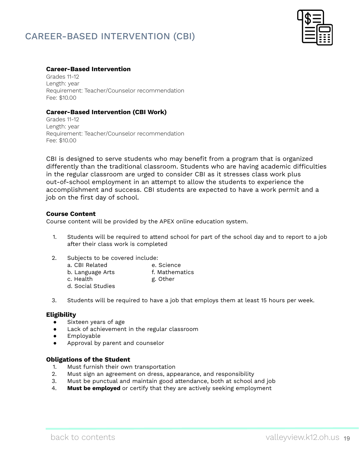## <span id="page-18-0"></span>CAREER-BASED INTERVENTION (CBI)



#### **Career-Based Intervention**

Grades 11-12 Length: year Requirement: Teacher/Counselor recommendation Fee: \$10.00

#### **Career-Based Intervention (CBI Work)**

Grades 11-12 Length: year Requirement: Teacher/Counselor recommendation Fee: \$10.00

CBI is designed to serve students who may benefit from a program that is organized differently than the traditional classroom. Students who are having academic difficulties in the regular classroom are urged to consider CBI as it stresses class work plus out-of-school employment in an attempt to allow the students to experience the accomplishment and success. CBI students are expected to have a work permit and a job on the first day of school.

#### **Course Content**

Course content will be provided by the APEX online education system.

- 1. Students will be required to attend school for part of the school day and to report to a job after their class work is completed
- 2. Subjects to be covered include: a. CBI Related e. Science b. Language Arts f. Mathematics c. Health g. Other d. Social Studies
- 3. Students will be required to have a job that employs them at least 15 hours per week.

#### **Eligibility**

- Sixteen years of age
- Lack of achievement in the regular classroom
- Employable
- Approval by parent and counselor

#### **Obligations of the Student**

- 1. Must furnish their own transportation
- 2. Must sign an agreement on dress, appearance, and responsibility
- 3. Must be punctual and maintain good attendance, both at school and job
- 4. **Must be employed** or certify that they are actively seeking employment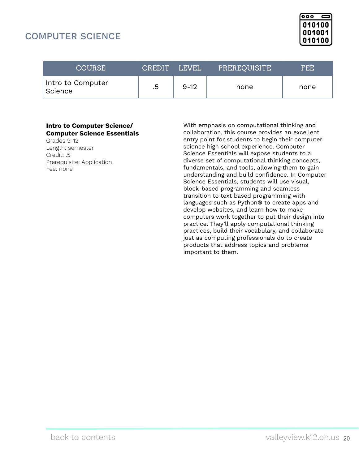## <span id="page-19-0"></span>COMPUTER SCIENCE



| <b>COURSE</b>                | <b>CREDIT</b> | <b>LEVEL</b> | PREREQUISITE | FEE. |
|------------------------------|---------------|--------------|--------------|------|
| Intro to Computer<br>Science | .5            | $9 - 12$     | none         | none |

#### **Intro to Computer Science/ Computer Science Essentials**

Grades 9-12 Length: semester Credit: .5 Prerequisite: Application Fee: none

With emphasis on computational thinking and collaboration, this course provides an excellent entry point for students to begin their computer science high school experience. Computer Science Essentials will expose students to a diverse set of computational thinking concepts, fundamentals, and tools, allowing them to gain understanding and build confidence. In Computer Science Essentials, students will use visual, block-based programming and seamless transition to text based programming with languages such as Python® to create apps and develop websites, and learn how to make computers work together to put their design into practice. They'll apply computational thinking practices, build their vocabulary, and collaborate just as computing professionals do to create products that address topics and problems important to them.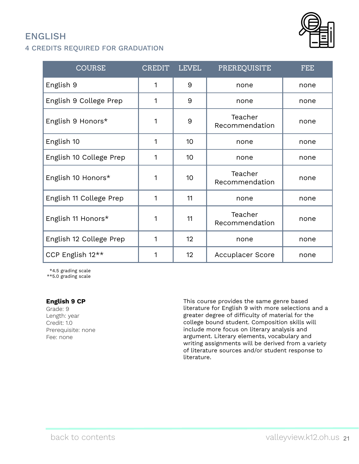## <span id="page-20-0"></span>ENGLISH

## 4 CREDITS REQUIRED FOR GRADUATION



| <b>COURSE</b>           | <b>CREDIT</b> | <b>LEVEL</b> | PREREQUISITE              | <b>FEE</b> |
|-------------------------|---------------|--------------|---------------------------|------------|
| English 9               | 1             | 9            | none                      | none       |
| English 9 College Prep  | 1             | 9            | none                      | none       |
| English 9 Honors*       | 1             | 9            | Teacher<br>Recommendation | none       |
| English 10              | 1             | 10           | none                      | none       |
| English 10 College Prep | 1             | 10           | none                      | none       |
| English 10 Honors*      | 1             | 10           | Teacher<br>Recommendation | none       |
| English 11 College Prep | 1             | 11           | none                      | none       |
| English 11 Honors*      | 1             | 11           | Teacher<br>Recommendation | none       |
| English 12 College Prep | 1             | 12           | none                      | none       |
| CCP English 12**        | 1             | 12           | Accuplacer Score          | none       |

\*4.5 grading scale

\*\*5.0 grading scale

#### **English 9 CP**

Grade: 9 Length: year Credit: 1.0 Prerequisite: none Fee: none

This course provides the same genre based literature for English 9 with more selections and a greater degree of difficulty of material for the college bound student. Composition skills will include more focus on literary analysis and argument. Literary elements, vocabulary and writing assignments will be derived from a variety of literature sources and/or student response to literature.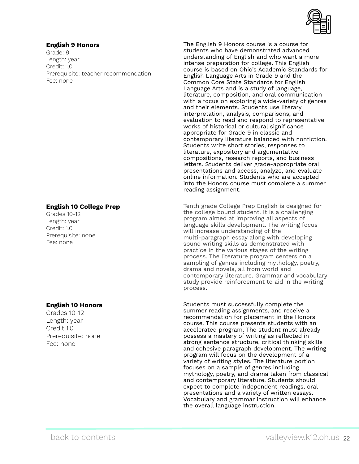

#### **English 9 Honors**

Grade: 9 Length: year Credit: 1.0 Prerequisite: teacher recommendation Fee: none

#### **English 10 College Prep**

Grades 10-12 Length: year Credit: 1.0 Prerequisite: none Fee: none

#### **English 10 Honors**

Grades 10-12 Length: year Credit 1.0 Prerequisite: none Fee: none

The English 9 Honors course is a course for students who have demonstrated advanced understanding of English and who want a more intense preparation for college. This English course is based on Ohio's Academic Standards for English Language Arts in Grade 9 and the Common Core State Standards for English Language Arts and is a study of language, literature, composition, and oral communication with a focus on exploring a wide-variety of genres and their elements. Students use literary interpretation, analysis, comparisons, and evaluation to read and respond to representative works of historical or cultural significance appropriate for Grade 9 in classic and contemporary literature balanced with nonfiction. Students write short stories, responses to literature, expository and argumentative compositions, research reports, and business letters. Students deliver grade-appropriate oral presentations and access, analyze, and evaluate online information. Students who are accepted into the Honors course must complete a summer reading assignment.

Tenth grade College Prep English is designed for the college bound student. It is a challenging program aimed at improving all aspects of language skills development. The writing focus will increase understanding of the multi-paragraph essay along with developing sound writing skills as demonstrated with practice in the various stages of the writing process. The literature program centers on a sampling of genres including mythology, poetry, drama and novels, all from world and contemporary literature. Grammar and vocabulary study provide reinforcement to aid in the writing process.

Students must successfully complete the summer reading assignments, and receive a recommendation for placement in the Honors course. This course presents students with an accelerated program. The student must already possess a mastery of writing as reflected in strong sentence structure, critical thinking skills and cohesive paragraph development. The writing program will focus on the development of a variety of writing styles. The literature portion focuses on a sample of genres including mythology, poetry, and drama taken from classical and contemporary literature. Students should expect to complete independent readings, oral presentations and a variety of written essays. Vocabulary and grammar instruction will enhance the overall language instruction.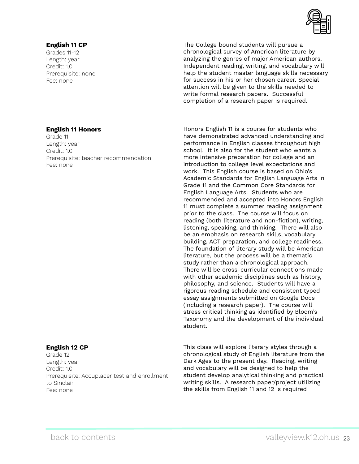

#### **English 11 CP**

Grades 11-12 Length: year Credit: 1.0 Prerequisite: none Fee: none

The College bound students will pursue a chronological survey of American literature by analyzing the genres of major American authors. Independent reading, writing, and vocabulary will help the student master language skills necessary for success in his or her chosen career. Special attention will be given to the skills needed to write formal research papers. Successful completion of a research paper is required.

#### **English 11 Honors**

Grade 11 Length: year Credit: 1.0 Prerequisite: teacher recommendation Fee: none

#### **English 12 CP**

Grade 12 Length: year Credit: 1.0 Prerequisite: Accuplacer test and enrollment to Sinclair Fee: none

Honors English 11 is a course for students who have demonstrated advanced understanding and performance in English classes throughout high school. It is also for the student who wants a more intensive preparation for college and an introduction to college level expectations and work. This English course is based on Ohio's Academic Standards for English Language Arts in Grade 11 and the Common Core Standards for English Language Arts. Students who are recommended and accepted into Honors English 11 must complete a summer reading assignment prior to the class. The course will focus on reading (both literature and non-fiction), writing, listening, speaking, and thinking. There will also be an emphasis on research skills, vocabulary building, ACT preparation, and college readiness. The foundation of literary study will be American literature, but the process will be a thematic study rather than a chronological approach. There will be cross-curricular connections made with other academic disciplines such as history, philosophy, and science. Students will have a rigorous reading schedule and consistent typed essay assignments submitted on Google Docs (including a research paper). The course will stress critical thinking as identified by Bloom's Taxonomy and the development of the individual student.

This class will explore literary styles through a chronological study of English literature from the Dark Ages to the present day. Reading, writing and vocabulary will be designed to help the student develop analytical thinking and practical writing skills. A research paper/project utilizing the skills from English 11 and 12 is required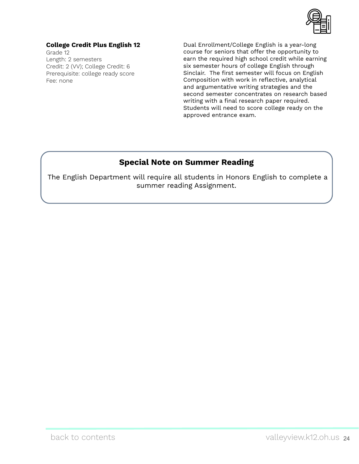

### **College Credit Plus English 12**

Grade 12 Length: 2 semesters Credit: 2 (VV); College Credit: 6 Prerequisite: college ready score Fee: none

Dual Enrollment/College English is a year-long course for seniors that offer the opportunity to earn the required high school credit while earning six semester hours of college English through Sinclair. The first semester will focus on English Composition with work in reflective, analytical and argumentative writing strategies and the second semester concentrates on research based writing with a final research paper required. Students will need to score college ready on the approved entrance exam.

## **Special Note on Summer Reading**

The English Department will require all students in Honors English to complete a summer reading Assignment.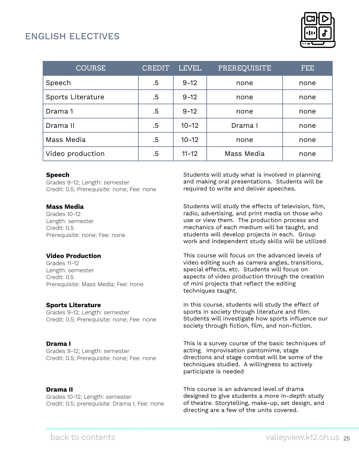## <span id="page-24-0"></span>ENGLISH ELECTIVES



| <b>COURSE</b>     | <b>CREDIT</b> | <b>LEVEL</b> | <b>PREREQUISITE</b> | FEE. |
|-------------------|---------------|--------------|---------------------|------|
| Speech            | .5            | $9 - 12$     | none                | none |
| Sports Literature | .5            | $9 - 12$     | none                | none |
| Drama 1           | .5            | $9 - 12$     | none                | none |
| Drama II          | .5            | $10 - 12$    | Drama I             | none |
| Mass Media        | .5            | $10 - 12$    | none                | none |
| Video production  | .5            | $11 - 12$    | Mass Media          | none |

#### **Speech**

Grades 9-12; Length: semester Credit: 0.5; Prerequisite: none; Fee: none

#### **Mass Media**

Grades 10-12 Length: semester Credit: 0.5 Prerequisite: none; Fee: none

#### **Video Production**

Grades 11-12 Length: semester Credit: 0.5 Prerequisite: Mass Media; Fee: none

#### **Sports Literature**

Grades 9-12; Length: semester Credit: 0.5; Prerequisite: none; Fee: none

#### **Drama I**

Grades 9-12; Length: semester Credit: 0.5; Prerequisite: none; Fee: none

#### **Drama II**

Grades 10-12; Length: semester Credit: 0.5; prerequisite: Drama I; Fee: none Students will study what is involved in planning and making oral presentations. Students will be required to write and deliver speeches.

Students will study the effects of television, film, radio, advertising, and print media on those who use or view them. The production process and mechanics of each medium will be taught, and students will develop projects in each. Group work and independent study skills will be utilized

This course will focus on the advanced levels of video editing such as camera angles, transitions, special effects, etc. Students will focus on aspects of video production through the creation of mini projects that reflect the editing techniques taught.

In this course, students will study the effect of sports in society through literature and film. Students will investigate how sports influence our society through fiction, film, and non-fiction.

This is a survey course of the basic techniques of acting. Improvisation pantomime, stage directions and stage combat will be some of the techniques studied. A willingness to actively participate is needed

This course is an advanced level of drama designed to give students a more in-depth study of theatre. Storytelling, make-up, set design, and directing are a few of the units covered.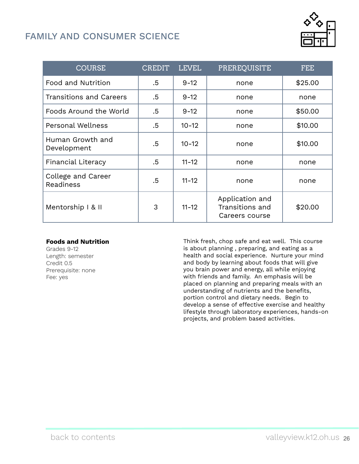## <span id="page-25-0"></span>FAMILY AND CONSUMER SCIENCE



| <b>COURSE</b>                   | <b>CREDIT</b> | <b>LEVEL</b> | PREREQUISITE                                         | FEE.    |
|---------------------------------|---------------|--------------|------------------------------------------------------|---------|
| Food and Nutrition              | .5            | $9 - 12$     | none                                                 | \$25.00 |
| <b>Transitions and Careers</b>  | .5            | $9 - 12$     | none                                                 | none    |
| Foods Around the World          | .5            | $9 - 12$     | none                                                 | \$50.00 |
| <b>Personal Wellness</b>        | .5            | $10 - 12$    | none                                                 | \$10.00 |
| Human Growth and<br>Development | .5            | $10 - 12$    | none                                                 | \$10.00 |
| <b>Financial Literacy</b>       | .5            | $11 - 12$    | none                                                 | none    |
| College and Career<br>Readiness | .5            | $11 - 12$    | none                                                 | none    |
| Mentorship   & II               | 3             | $11 - 12$    | Application and<br>Transitions and<br>Careers course | \$20.00 |

#### **Foods and Nutrition**

Grades 9-12 Length: semester Credit 0.5 Prerequisite: none Fee: yes

Think fresh, chop safe and eat well. This course is about planning , preparing, and eating as a health and social experience. Nurture your mind and body by learning about foods that will give you brain power and energy, all while enjoying with friends and family. An emphasis will be placed on planning and preparing meals with an understanding of nutrients and the benefits, portion control and dietary needs. Begin to develop a sense of effective exercise and healthy lifestyle through laboratory experiences, hands-on projects, and problem based activities.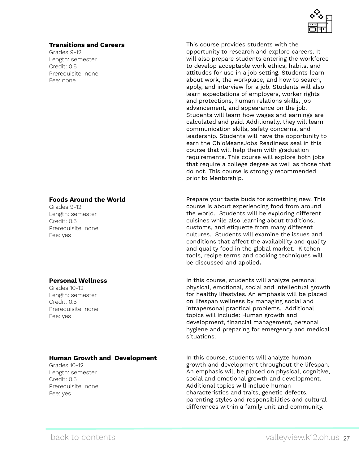

#### **Transitions and Careers**

Grades 9-12 Length: semester Credit: 0.5 Prerequisite: none Fee: none

#### **Foods Around the World**

Grades 9-12 Length: semester Credit: 0.5 Prerequisite: none Fee: yes

#### **Personal Wellness**

Grades 10-12 Length: semester Credit: 0.5 Prerequisite: none Fee: yes

#### **Human Growth and Development**

Grades 10-12 Length: semester Credit: 0.5 Prerequisite: none Fee: yes

This course provides students with the opportunity to research and explore careers. It will also prepare students entering the workforce to develop acceptable work ethics, habits, and attitudes for use in a job setting. Students learn about work, the workplace, and how to search, apply, and interview for a job. Students will also learn expectations of employers, worker rights and protections, human relations skills, job advancement, and appearance on the job. Students will learn how wages and earnings are calculated and paid. Additionally, they will learn communication skills, safety concerns, and leadership. Students will have the opportunity to earn the OhioMeansJobs Readiness seal in this course that will help them with graduation requirements. This course will explore both jobs that require a college degree as well as those that do not. This course is strongly recommended prior to Mentorship.

Prepare your taste buds for something new. This course is about experiencing food from around the world. Students will be exploring different cuisines while also learning about traditions, customs, and etiquette from many different cultures. Students will examine the issues and conditions that affect the availability and quality and quality food in the global market. Kitchen tools, recipe terms and cooking techniques will be discussed and applied**.**

In this course, students will analyze personal physical, emotional, social and intellectual growth for healthy lifestyles. An emphasis will be placed on lifespan wellness by managing social and intrapersonal practical problems. Additional topics will include: Human growth and development, financial management, personal hygiene and preparing for emergency and medical situations.

In this course, students will analyze human growth and development throughout the lifespan. An emphasis will be placed on physical, cognitive, social and emotional growth and development. Additional topics will include human characteristics and traits, genetic defects, parenting styles and responsibilities and cultural differences within a family unit and community.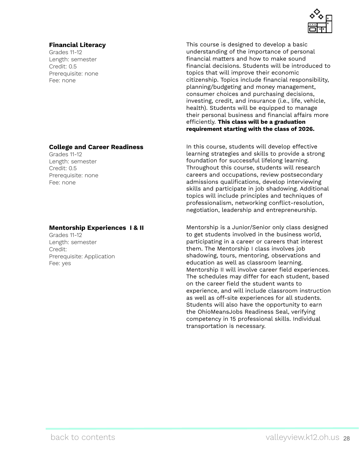#### **Financial Literacy**

Grades 11-12 Length: semester Credit: 0.5 Prerequisite: none Fee: none

#### **College and Career Readiness**

Grades 11-12 Length: semester Credit: 0.5 Prerequisite: none Fee: none

#### **Mentorship Experiences I & II**

Grades 11-12 Length: semester Credit: Prerequisite: Application Fee: yes



This course is designed to develop a basic understanding of the importance of personal financial matters and how to make sound financial decisions. Students will be introduced to topics that will improve their economic citizenship. Topics include financial responsibility, planning/budgeting and money management, consumer choices and purchasing decisions, investing, credit, and insurance (i.e., life, vehicle, health). Students will be equipped to manage their personal business and financial affairs more efficiently. **This class will be a graduation requirement starting with the class of 2026.**

In this course, students will develop effective learning strategies and skills to provide a strong foundation for successful lifelong learning. Throughout this course, students will research careers and occupations, review postsecondary admissions qualifications, develop interviewing skills and participate in job shadowing. Additional topics will include principles and techniques of professionalism, networking conflict-resolution, negotiation, leadership and entrepreneurship.

Mentorship is a Junior/Senior only class designed to get students involved in the business world, participating in a career or careers that interest them. The Mentorship I class involves job shadowing, tours, mentoring, observations and education as well as classroom learning. Mentorship II will involve career field experiences. The schedules may differ for each student, based on the career field the student wants to experience, and will include classroom instruction as well as off-site experiences for all students. Students will also have the opportunity to earn the OhioMeansJobs Readiness Seal, verifying competency in 15 professional skills. Individual transportation is necessary.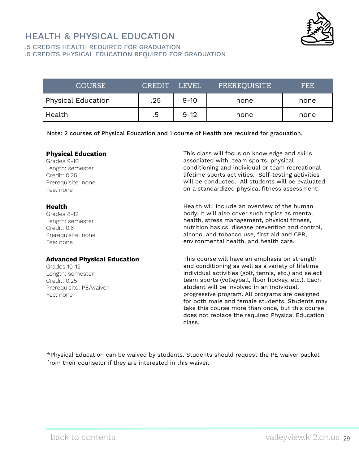## <span id="page-28-0"></span>HEALTH & PHYSICAL EDUCATION



.5 CREDITS HEALTH REQUIRED FOR GRADUATION

.5 CREDITS PHYSICAL EDUCATION REQUIRED FOR GRADUATION

| <b>COURSE</b>      | CREDIT LEVEL |          | PREREQUISITE | FEE. |
|--------------------|--------------|----------|--------------|------|
| Physical Education | .25          | $9 - 10$ | none         | none |
| Health             | .5           | $9 - 12$ | none         | none |

Note: 2 courses of Physical Education and 1 course of Health are required for graduation.

#### **Physical Education**

Grades 9-10 Length: semester Credit: 0.25 Prerequisite: none Fee: none

#### **Health**

Grades 8-12 Length: semester Credit: 0.5 Prerequisite: none Fee: none

#### **Advanced Physical Education**

Grades 10-12 Length: semester Credit: 0.25 Prerequisite: PE/waiver Fee: none

This class will focus on knowledge and skills associated with team sports, physical conditioning and individual or team recreational lifetime sports activities. Self-testing activities will be conducted. All students will be evaluated on a standardized physical fitness assessment.

Health will include an overview of the human body. It will also cover such topics as mental health, stress management, physical fitness, nutrition basics, disease prevention and control, alcohol and tobacco use, first aid and CPR, environmental health, and health care.

This course will have an emphasis on strength and conditioning as well as a variety of lifetime individual activities (golf, tennis, etc.) and select team sports (volleyball, floor hockey, etc.). Each student will be involved in an individual, progressive program. All programs are designed for both male and female students. Students may take this course more than once, but this course does not replace the required Physical Education class.

\*Physical Education can be waived by students. Students should request the PE waiver packet from their counselor if they are interested in this waiver.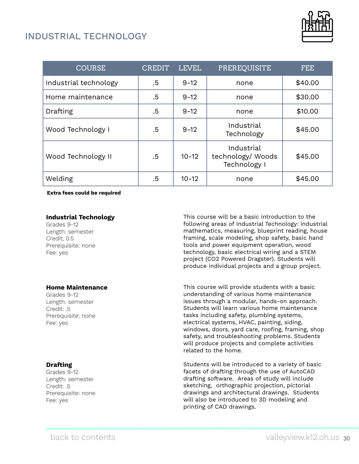## <span id="page-29-0"></span>INDUSTRIAL TECHNOLOGY



| <b>COURSE</b>         | <b>CREDIT</b> | <b>LEVEL</b> | PREREQUISITE                                    | FEE.    |
|-----------------------|---------------|--------------|-------------------------------------------------|---------|
| Industrial technology | .5            | $9 - 12$     | none                                            | \$40.00 |
| Home maintenance      | .5            | $9 - 12$     | none                                            | \$30.00 |
| Drafting              | .5            | $9 - 12$     | none                                            | \$10.00 |
| Wood Technology I     | .5            | $9 - 12$     | Industrial<br>Technology                        | \$45.00 |
| Wood Technology II    | .5            | $10 - 12$    | Industrial<br>technology/ Woods<br>Technology I | \$45.00 |
| Welding               | .5            | $10 - 12$    | none                                            | \$45.00 |

**Extra fees could be required**

#### **Industrial Technology**

Grades 9-12 Length: semester Credit; 0.5 Prerequisite: none Fee: yes

#### **Home Maintenance**

Grades 9-12 Length: semester Credit: .5 Prerequisite: none Fee: yes

#### **Drafting**

Grades 9-12 Length: semester Credit: .5 Prerequisite: none Fee: yes

This course will be a basic introduction to the following areas of Industrial Technology: industrial mathematics, measuring, blueprint reading, house framing, scale modeling, shop safety, basic hand tools and power equipment operation, wood technology, basic electrical wiring and a STEM project (CO2 Powered Dragster). Students will produce individual projects and a group project.

This course will provide students with a basic understanding of various home maintenance issues through a modular, hands-on approach. Students will learn various home maintenance tasks including safety, plumbing systems, electrical systems, HVAC, painting, siding, windows, doors, yard care, roofing, framing, shop safety, and troubleshooting problems. Students will produce projects and complete activities related to the home.

Students will be introduced to a variety of basic facets of drafting through the use of AutoCAD drafting software. Areas of study will include sketching, orthographic projection, pictorial drawings and architectural drawings. Students will also be introduced to 3D modeling and printing of CAD drawings.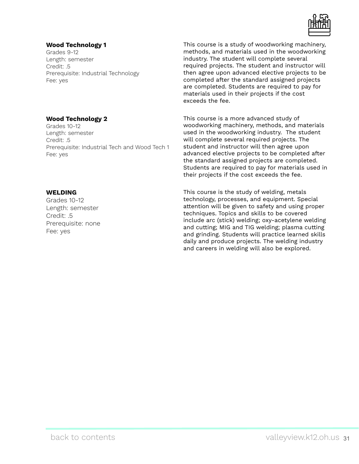

#### **Wood Technology 1**

Grades 9-12 Length: semester Credit: .5 Prerequisite: Industrial Technology Fee: yes

#### **Wood Technology 2**

Grades 10-12 Length: semester Credit: .5 Prerequisite: Industrial Tech and Wood Tech 1 Fee: yes

#### **WELDING**

Grades 10-12 Length: semester Credit: .5 Prerequisite: none Fee: yes

This course is a study of woodworking machinery, methods, and materials used in the woodworking industry. The student will complete several required projects. The student and instructor will then agree upon advanced elective projects to be completed after the standard assigned projects are completed. Students are required to pay for materials used in their projects if the cost exceeds the fee.

This course is a more advanced study of woodworking machinery, methods, and materials used in the woodworking industry. The student will complete several required projects. The student and instructor will then agree upon advanced elective projects to be completed after the standard assigned projects are completed. Students are required to pay for materials used in their projects if the cost exceeds the fee.

This course is the study of welding, metals technology, processes, and equipment. Special attention will be given to safety and using proper techniques. Topics and skills to be covered include arc (stick) welding; oxy-acetylene welding and cutting; MIG and TIG welding; plasma cutting and grinding. Students will practice learned skills daily and produce projects. The welding industry and careers in welding will also be explored.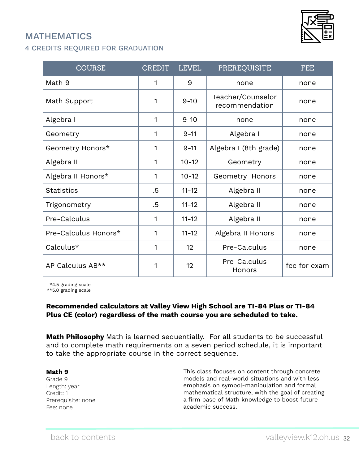## <span id="page-31-0"></span>MATHEMATICS





| <b>COURSE</b>        | <b>CREDIT</b> | <b>LEVEL</b> | PREREQUISITE                        | <b>FEE</b>   |
|----------------------|---------------|--------------|-------------------------------------|--------------|
| Math 9               | 1             | 9            | none                                | none         |
| Math Support         | 1             | $9 - 10$     | Teacher/Counselor<br>recommendation | none         |
| Algebra I            | 1             | $9 - 10$     | none                                | none         |
| Geometry             | 1             | $9 - 11$     | Algebra I                           | none         |
| Geometry Honors*     | 1             | $9 - 11$     | Algebra I (8th grade)               | none         |
| Algebra II           | 1             | $10 - 12$    | Geometry                            | none         |
| Algebra II Honors*   | 1             | $10 - 12$    | Geometry Honors                     | none         |
| <b>Statistics</b>    | .5            | $11 - 12$    | Algebra II                          | none         |
| Trigonometry         | .5            | $11 - 12$    | Algebra II                          | none         |
| Pre-Calculus         | 1             | $11 - 12$    | Algebra II                          | none         |
| Pre-Calculus Honors* | 1             | $11 - 12$    | Algebra II Honors                   | none         |
| Calculus*            | 1             | 12           | Pre-Calculus                        | none         |
| AP Calculus AB**     | 1             | 12           | Pre-Calculus<br>Honors              | fee for exam |

\*4.5 grading scale

\*\*5.0 grading scale

#### **Recommended calculators at Valley View High School are TI-84 Plus or TI-84 Plus CE (color) regardless of the math course you are scheduled to take.**

**Math Philosophy** Math is learned sequentially. For all students to be successful and to complete math requirements on a seven period schedule, it is important to take the appropriate course in the correct sequence.

#### **Math 9**

Grade 9 Length: year Credit: 1 Prerequisite: none Fee: none

This class focuses on content through concrete models and real-world situations and with less emphasis on symbol-manipulation and formal mathematical structure, with the goal of creating a firm base of Math knowledge to boost future academic success.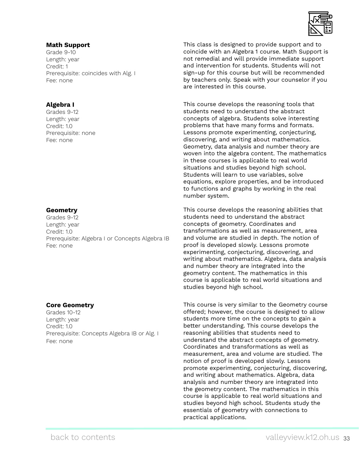#### **Math Support**

Grade 9-10 Length: year Credit: 1 Prerequisite: coincides with Alg. I Fee: none

### **Algebra I**

Grades 9-12 Length: year Credit: 1.0 Prerequisite: none Fee: none

#### **Geometry**

Grades 9-12 Length: year Credit: 1.0 Prerequisite: Algebra I or Concepts Algebra IB Fee: none

#### **Core Geometry**

Grades 10-12 Length: year Credit: 1.0 Prerequisite: Concepts Algebra IB or Alg. I Fee: none

This class is designed to provide support and to coincide with an Algebra 1 course. Math Support is not remedial and will provide immediate support and intervention for students. Students will not sign-up for this course but will be recommended by teachers only. Speak with your counselor if you are interested in this course.

This course develops the reasoning tools that students need to understand the abstract concepts of algebra. Students solve interesting problems that have many forms and formats. Lessons promote experimenting, conjecturing, discovering, and writing about mathematics. Geometry, data analysis and number theory are woven into the algebra content. The mathematics in these courses is applicable to real world situations and studies beyond high school. Students will learn to use variables, solve equations, explore properties, and be introduced to functions and graphs by working in the real number system.

This course develops the reasoning abilities that students need to understand the abstract concepts of geometry. Coordinates and transformations as well as measurement, area and volume are studied in depth. The notion of proof is developed slowly. Lessons promote experimenting, conjecturing, discovering, and writing about mathematics. Algebra, data analysis and number theory are integrated into the geometry content. The mathematics in this course is applicable to real world situations and studies beyond high school.

This course is very similar to the Geometry course offered; however, the course is designed to allow students more time on the concepts to gain a better understanding. This course develops the reasoning abilities that students need to understand the abstract concepts of geometry. Coordinates and transformations as well as measurement, area and volume are studied. The notion of proof is developed slowly. Lessons promote experimenting, conjecturing, discovering, and writing about mathematics. Algebra, data analysis and number theory are integrated into the geometry content. The mathematics in this course is applicable to real world situations and studies beyond high school. Students study the essentials of geometry with connections to practical applications.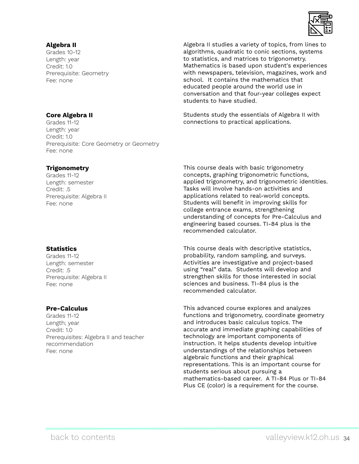

#### **Algebra II**

Grades 10-12 Length: year Credit: 1.0 Prerequisite: Geometry Fee: none

#### Algebra II studies a variety of topics, from lines to algorithms, quadratic to conic sections, systems to statistics, and matrices to trigonometry. Mathematics is based upon student's experiences with newspapers, television, magazines, work and school. It contains the mathematics that educated people around the world use in conversation and that four-year colleges expect students to have studied.

Students study the essentials of Algebra II with connections to practical applications.

#### **Core Algebra II**

Grades 11-12 Length: year Credit: 1.0 Prerequisite: Core Geometry or Geometry Fee: none

#### **Trigonometry**

Grades 11-12 Length: semester Credit: .5 Prerequisite: Algebra II Fee: none

#### **Statistics**

Grades 11-12 Length: semester Credit: .5 Prerequisite: Algebra II Fee: none

#### **Pre-Calculus**

Grades 11-12 Length; year Credit: 1.0 Prerequisites: Algebra II and teacher recommendation Fee: none

This course deals with basic trigonometry concepts, graphing trigonometric functions, applied trigonometry, and trigonometric identities. Tasks will involve hands-on activities and applications related to real-world concepts. Students will benefit in improving skills for college entrance exams, strengthening understanding of concepts for Pre-Calculus and engineering based courses. TI-84 plus is the recommended calculator.

This course deals with descriptive statistics, probability, random sampling, and surveys. Activities are investigative and project-based using "real" data. Students will develop and strengthen skills for those interested in social sciences and business. TI-84 plus is the recommended calculator.

This advanced course explores and analyzes functions and trigonometry, coordinate geometry and introduces basic calculus topics. The accurate and immediate graphing capabilities of technology are important components of instruction. It helps students develop intuitive understandings of the relationships between algebraic functions and their graphical representations. This is an important course for students serious about pursuing a mathematics-based career. A TI-84 Plus or TI-84 Plus CE (color) is a requirement for the course.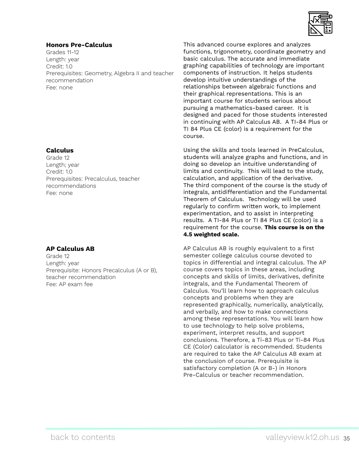

#### **Honors Pre-Calculus**

Grades 11-12 Length: year Credit: 1.0 Prerequisites: Geometry, Algebra II and teacher recommendation Fee: none

#### **Calculus**

Grade 12 Length; year Credit: 1.0 Prerequisites: Precalculus, teacher recommendations Fee: none

#### **AP Calculus AB**

Grade 12 Length: year Prerequisite: Honors Precalculus (A or B), teacher recommendation Fee: AP exam fee

This advanced course explores and analyzes functions, trigonometry, coordinate geometry and basic calculus. The accurate and immediate graphing capabilities of technology are important components of instruction. It helps students develop intuitive understandings of the relationships between algebraic functions and their graphical representations. This is an important course for students serious about pursuing a mathematics-based career. It is designed and paced for those students interested in continuing with AP Calculus AB. A TI-84 Plus or TI 84 Plus CE (color) is a requirement for the course.

Using the skills and tools learned in PreCalculus, students will analyze graphs and functions, and in doing so develop an intuitive understanding of limits and continuity. This will lead to the study, calculation, and application of the derivative. The third component of the course is the study of integrals, antidifferentiation and the Fundamental Theorem of Calculus. Technology will be used regularly to confirm written work, to implement experimentation, and to assist in interpreting results. A TI-84 Plus or TI 84 Plus CE (color) is a requirement for the course. **This course is on the 4.5 weighted scale.**

AP Calculus AB is roughly equivalent to a first semester college calculus course devoted to topics in differential and integral calculus. The AP course covers topics in these areas, including concepts and skills of limits, derivatives, definite integrals, and the Fundamental Theorem of Calculus. You'll learn how to approach calculus concepts and problems when they are represented graphically, numerically, analytically, and verbally, and how to make connections among these representations. You will learn how to use technology to help solve problems, experiment, interpret results, and support conclusions. Therefore, a Ti-83 Plus or Ti-84 Plus CE (Color) calculator is recommended. Students are required to take the AP Calculus AB exam at the conclusion of course. Prerequisite is satisfactory completion (A or B-) in Honors Pre-Calculus or teacher recommendation.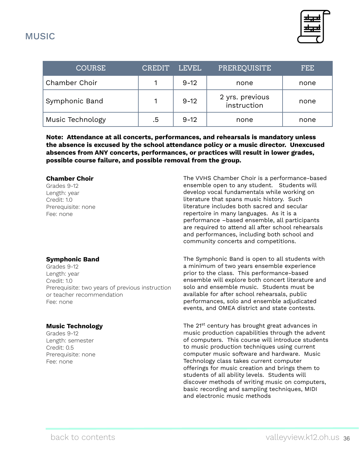<span id="page-35-0"></span>

| <b>COURSE</b>    | <b>CREDIT</b> | LEVEL    | PREREQUISITE                   | FEE. |
|------------------|---------------|----------|--------------------------------|------|
| Chamber Choir    |               | $9 - 12$ | none                           | none |
| Symphonic Band   |               | $9 - 12$ | 2 yrs. previous<br>instruction | none |
| Music Technology | .5            | $9 - 12$ | none                           | none |

**Note: Attendance at all concerts, performances, and rehearsals is mandatory unless the absence is excused by the school attendance policy or a music director. Unexcused absences from ANY concerts, performances, or practices will result in lower grades, possible course failure, and possible removal from the group.** 

#### **Chamber Choir**

Grades 9-12 Length: year Credit: 1.0 Prerequisite: none Fee: none

#### **Symphonic Band**

Grades 9-12 Length: year Credit: 1.0 Prerequisite: two years of previous instruction or teacher recommendation Fee: none

#### **Music Technology**

Grades 9-12 Length: semester Credit: 0.5 Prerequisite: none Fee: none

The VVHS Chamber Choir is a performance-based ensemble open to any student. Students will develop vocal fundamentals while working on literature that spans music history. Such literature includes both sacred and secular repertoire in many languages. As it is a performance –based ensemble, all participants are required to attend all after school rehearsals and performances, including both school and community concerts and competitions.

The Symphonic Band is open to all students with a minimum of two years ensemble experience prior to the class. This performance-based ensemble will explore both concert literature and solo and ensemble music. Students must be available for after school rehearsals, public performances, solo and ensemble adjudicated events, and OMEA district and state contests.

The 21<sup>st</sup> century has brought great advances in music production capabilities through the advent of computers. This course will introduce students to music production techniques using current computer music software and hardware. Music Technology class takes current computer offerings for music creation and brings them to students of all ability levels. Students will discover methods of writing music on computers, basic recording and sampling techniques, MIDI and electronic music methods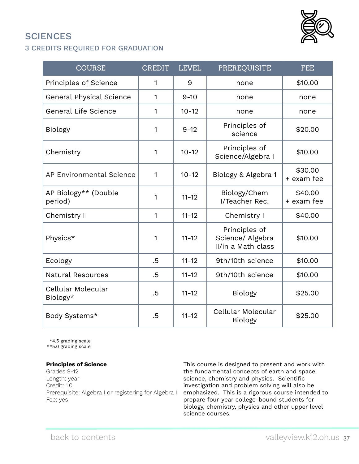# <span id="page-36-0"></span>**SCIENCES**

## 3 CREDITS REQUIRED FOR GRADUATION

| <b>COURSE</b>                   | <b>CREDIT</b> | <b>LEVEL</b> | PREREQUISITE                                            | <b>FEE</b>            |
|---------------------------------|---------------|--------------|---------------------------------------------------------|-----------------------|
| Principles of Science           | $\mathbf{1}$  | 9            | none                                                    | \$10.00               |
| <b>General Physical Science</b> | 1             | $9 - 10$     | none                                                    | none                  |
| <b>General Life Science</b>     | $\mathbf{1}$  | $10 - 12$    | none                                                    | none                  |
| <b>Biology</b>                  | 1             | $9 - 12$     | Principles of<br>science                                | \$20.00               |
| Chemistry                       | 1             | $10 - 12$    | Principles of<br>Science/Algebra I                      | \$10.00               |
| AP Environmental Science        | 1             | $10 - 12$    | Biology & Algebra 1                                     | \$30.00<br>+ exam fee |
| AP Biology** (Double<br>period) | 1             | $11 - 12$    | Biology/Chem<br>I/Teacher Rec.                          | \$40.00<br>+ exam fee |
| Chemistry II                    | $\mathbf{1}$  | $11 - 12$    | Chemistry I                                             | \$40.00               |
| Physics*                        | 1             | $11 - 12$    | Principles of<br>Science/ Algebra<br>II/in a Math class | \$10.00               |
| Ecology                         | .5            | $11 - 12$    | 9th/10th science                                        | \$10.00               |
| <b>Natural Resources</b>        | .5            | $11 - 12$    | 9th/10th science                                        | \$10.00               |
| Cellular Molecular<br>Biology*  | $.5\,$        | $11 - 12$    | <b>Biology</b>                                          | \$25.00               |
| Body Systems*                   | .5            | $11 - 12$    | Cellular Molecular<br><b>Biology</b>                    | \$25.00               |

\*4.5 grading scale

\*\*5.0 grading scale

#### **Principles of Science**

Grades 9-12 Length: year Credit: 1.0 Prerequisite: Algebra I or registering for Algebra I Fee: yes

This course is designed to present and work with the fundamental concepts of earth and space science, chemistry and physics. Scientific investigation and problem solving will also be emphasized. This is a rigorous course intended to prepare four-year college-bound students for biology, chemistry, physics and other upper level science courses.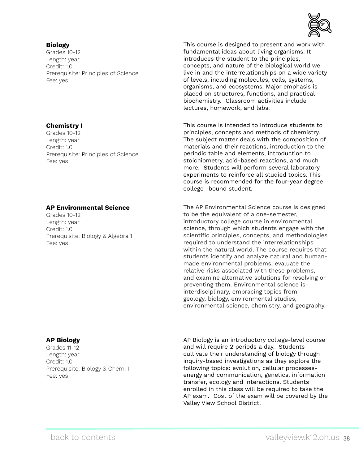#### **Biology**

Grades 10-12 Length: year Credit: 1.0 Prerequisite: Principles of Science Fee: yes

#### **Chemistry I**

Grades 10-12 Length: year Credit: 1.0 Prerequisite: Principles of Science Fee: yes

#### **AP Environmental Science**

Grades 10-12 Length: year Credit: 1.0 Prerequisite: Biology & Algebra 1 Fee: yes

#### **AP Biology**

Grades 11-12 Length: year Credit: 1.0 Prerequisite: Biology & Chem. I Fee: yes

AP Biology is an introductory college-level course and will require 2 periods a day. Students cultivate their understanding of biology through inquiry-based investigations as they explore the following topics: evolution, cellular processesenergy and communication, genetics, information transfer, ecology and interactions. Students enrolled in this class will be required to take the AP exam. Cost of the exam will be covered by the Valley View School District.



This course is designed to present and work with fundamental ideas about living organisms. It introduces the student to the principles, concepts, and nature of the biological world we live in and the interrelationships on a wide variety of levels, including molecules, cells, systems, organisms, and ecosystems. Major emphasis is placed on structures, functions, and practical biochemistry. Classroom activities include lectures, homework, and labs.

This course is intended to introduce students to principles, concepts and methods of chemistry. The subject matter deals with the composition of materials and their reactions, introduction to the periodic table and elements, introduction to stoichiometry, acid-based reactions, and much more. Students will perform several laboratory experiments to reinforce all studied topics. This course is recommended for the four-year degree college- bound student.

The AP Environmental Science course is designed to be the equivalent of a one-semester, introductory college course in environmental science, through which students engage with the scientific principles, concepts, and methodologies required to understand the interrelationships within the natural world. The course requires that students identify and analyze natural and humanmade environmental problems, evaluate the relative risks associated with these problems, and examine alternative solutions for resolving or preventing them. Environmental science is interdisciplinary, embracing topics from geology, biology, environmental studies, environmental science, chemistry, and geography.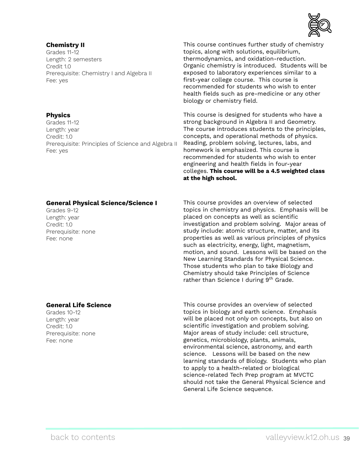#### **Chemistry II**

Grades 11-12 Length: 2 semesters Credit 1.0 Prerequisite: Chemistry I and Algebra II Fee: yes

#### **Physics**

Grades 11-12 Length: year Credit: 1.0 Prerequisite: Principles of Science and Algebra II Fee: yes

#### **General Physical Science/Science I**

Grades 9-12 Length: year Credit: 1.0 Prerequisite: none Fee: none

#### **General Life Science**

Grades 10-12 Length: year Credit: 1.0 Prerequisite: none Fee: none

This course continues further study of chemistry topics, along with solutions, equilibrium, thermodynamics, and oxidation-reduction. Organic chemistry is introduced. Students will be exposed to laboratory experiences similar to a first-year college course. This course is recommended for students who wish to enter health fields such as pre-medicine or any other biology or chemistry field.

This course is designed for students who have a strong background in Algebra II and Geometry. The course introduces students to the principles, concepts, and operational methods of physics. Reading, problem solving, lectures, labs, and homework is emphasized. This course is recommended for students who wish to enter engineering and health fields in four-year colleges. **This course will be a 4.5 weighted class at the high school.**

This course provides an overview of selected topics in chemistry and physics. Emphasis will be placed on concepts as well as scientific investigation and problem solving. Major areas of study include: atomic structure, matter, and its properties as well as various principles of physics such as electricity, energy, light, magnetism, motion, and sound. Lessons will be based on the New Learning Standards for Physical Science. Those students who plan to take Biology and Chemistry should take Principles of Science rather than Science I during  $9<sup>th</sup>$  Grade.

This course provides an overview of selected topics in biology and earth science. Emphasis will be placed not only on concepts, but also on scientific investigation and problem solving. Major areas of study include: cell structure, genetics, microbiology, plants, animals, environmental science, astronomy, and earth science. Lessons will be based on the new learning standards of Biology. Students who plan to apply to a health-related or biological science-related Tech Prep program at MVCTC should not take the General Physical Science and General Life Science sequence.

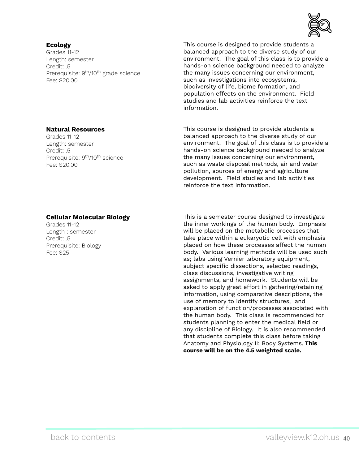#### **Ecology**

Grades 11-12 Length: semester Credit: .5 Prerequisite: 9<sup>th</sup>/10<sup>th</sup> grade science Fee: \$20.00



This course is designed to provide students a balanced approach to the diverse study of our environment. The goal of this class is to provide a hands-on science background needed to analyze the many issues concerning our environment, such as investigations into ecosystems, biodiversity of life, biome formation, and population effects on the environment. Field studies and lab activities reinforce the text information.

This course is designed to provide students a balanced approach to the diverse study of our environment. The goal of this class is to provide a hands-on science background needed to analyze the many issues concerning our environment, such as waste disposal methods, air and water pollution, sources of energy and agriculture development. Field studies and lab activities reinforce the text information.

#### **Cellular Molecular Biology**

Grades 11-12 Length : semester Credit: .5 Prerequisite: Biology Fee: \$25

**Natural Resources**

Prerequisite: 9<sup>th</sup>/10<sup>th</sup> science

Grades 11-12 Length: semester

Fee: \$20.00

Credit: .5

This is a semester course designed to investigate the inner workings of the human body. Emphasis will be placed on the metabolic processes that take place within a eukaryotic cell with emphasis placed on how these processes affect the human body. Various learning methods will be used such as; labs using Vernier laboratory equipment, subject specific dissections, selected readings, class discussions, investigative writing assignments, and homework. Students will be asked to apply great effort in gathering/retaining information, using comparative descriptions, the use of memory to identify structures, and explanation of function/processes associated with the human body. This class is recommended for students planning to enter the medical field or any discipline of Biology. It is also recommended that students complete this class before taking Anatomy and Physiology II: Body Systems. **This course will be on the 4.5 weighted scale.**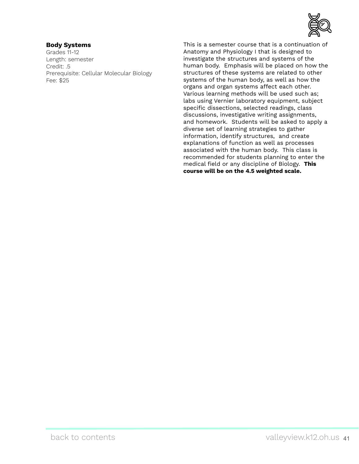

#### **Body Systems**

Grades 11-12 Length: semester Credit: .5 Prerequisite: Cellular Molecular Biology Fee: \$25

This is a semester course that is a continuation of Anatomy and Physiology I that is designed to investigate the structures and systems of the human body. Emphasis will be placed on how the structures of these systems are related to other systems of the human body, as well as how the organs and organ systems affect each other. Various learning methods will be used such as; labs using Vernier laboratory equipment, subject specific dissections, selected readings, class discussions, investigative writing assignments, and homework. Students will be asked to apply a diverse set of learning strategies to gather information, identify structures, and create explanations of function as well as processes associated with the human body. This class is recommended for students planning to enter the medical field or any discipline of Biology. **This course will be on the 4.5 weighted scale.**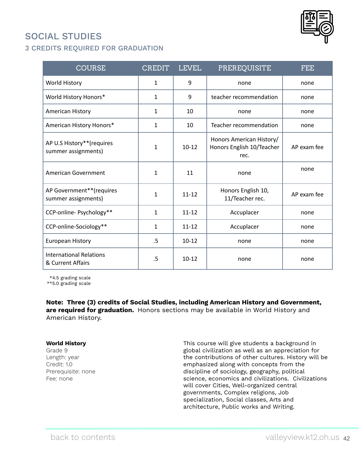## <span id="page-41-0"></span>SOCIAL STUDIES



| <b>COURSE</b>                                       | CREDIT       | <b>LEVEL</b> | PREREQUISITE                                                  | <b>FEE</b>  |
|-----------------------------------------------------|--------------|--------------|---------------------------------------------------------------|-------------|
| World History                                       | $\mathbf{1}$ | 9            | none                                                          | none        |
| World History Honors*                               | $\mathbf{1}$ | 9            | teacher recommendation                                        | none        |
| American History                                    | $\mathbf{1}$ | 10           | none                                                          | none        |
| American History Honors*                            | $\mathbf{1}$ | 10           | Teacher recommendation                                        | none        |
| AP U.S History**(requires<br>summer assignments)    | 1            | $10 - 12$    | Honors American History/<br>Honors English 10/Teacher<br>rec. | AP exam fee |
| American Government                                 | 1            | 11           | none                                                          | none        |
| AP Government**(requires<br>summer assignments)     | 1            | $11 - 12$    | Honors English 10,<br>11/Teacher rec.                         | AP exam fee |
| CCP-online- Psychology**                            | $\mathbf{1}$ | $11 - 12$    | Accuplacer                                                    | none        |
| CCP-online-Sociology**                              | $\mathbf{1}$ | $11 - 12$    | Accuplacer                                                    | none        |
| European History                                    | .5           | $10 - 12$    | none                                                          | none        |
| <b>International Relations</b><br>& Current Affairs | $.5\,$       | $10 - 12$    | none                                                          | none        |

\*4.5 grading scale

\*\*5.0 grading scale

**Note: Three (3) credits of Social Studies, including American History and Government, are required for graduation.** Honors sections may be available in World History and American History.

#### **World History**

Grade 9 Length: year Credit: 1.0 Prerequisite: none Fee: none

This course will give students a background in global civilization as well as an appreciation for the contributions of other cultures. History will be emphasized along with concepts from the discipline of sociology, geography, political science, economics and civilizations. Civilizations will cover Cities, Well-organized central governments, Complex religions, Job specialization, Social classes, Arts and architecture, Public works and Writing.

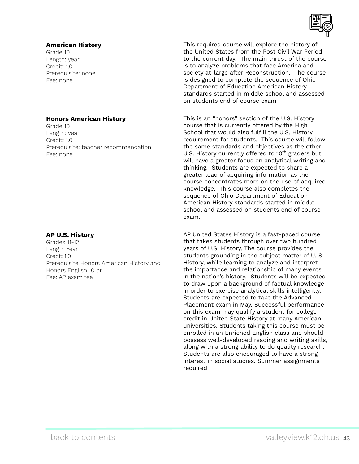#### **American History**

Grade 10 Length: year Credit: 1.0 Prerequisite: none Fee: none

#### **Honors American History**

Grade 10 Length: year Credit: 1.0 Prerequisite: teacher recommendation Fee: none

#### **AP U.S. History**

Grades 11-12 Length Year Credit 1.0 Prerequisite Honors American History and Honors English 10 or 11 Fee: AP exam fee

This required course will explore the history of the United States from the Post Civil War Period to the current day. The main thrust of the course is to analyze problems that face America and society at-large after Reconstruction. The course is designed to complete the sequence of Ohio Department of Education American History standards started in middle school and assessed on students end of course exam

This is an "honors" section of the U.S. History course that is currently offered by the High School that would also fulfill the U.S. History requirement for students. This course will follow the same standards and objectives as the other U.S. History currently offered to  $10<sup>th</sup>$  graders but will have a greater focus on analytical writing and thinking. Students are expected to share a greater load of acquiring information as the course concentrates more on the use of acquired knowledge. This course also completes the sequence of Ohio Department of Education American History standards started in middle school and assessed on students end of course exam.

AP United States History is a fast-paced course that takes students through over two hundred years of U.S. History. The course provides the students grounding in the subject matter of U. S. History, while learning to analyze and interpret the importance and relationship of many events in the nation's history. Students will be expected to draw upon a background of factual knowledge in order to exercise analytical skills intelligently. Students are expected to take the Advanced Placement exam in May. Successful performance on this exam may qualify a student for college credit in United State History at many American universities. Students taking this course must be enrolled in an Enriched English class and should possess well-developed reading and writing skills, along with a strong ability to do quality research. Students are also encouraged to have a strong interest in social studies. Summer assignments required

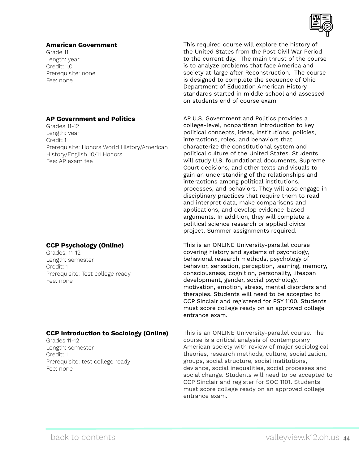#### **American Government**

Grade 11 Length: year Credit: 1.0 Prerequisite: none Fee: none

#### **AP Government and Politics**

Grades 11-12 Length: year Credit 1 Prerequisite: Honors World History/American History/English 10/11 Honors Fee: AP exam fee

#### **CCP Psychology (Online)**

Grades: 11-12 Length: semester Credit: 1 Prerequisite: Test college ready Fee: none

#### **CCP Introduction to Sociology (Online)**

Grades 11-12 Length: semester Credit: 1 Prerequisite: test college ready Fee: none

This required course will explore the history of the United States from the Post Civil War Period to the current day. The main thrust of the course is to analyze problems that face America and society at-large after Reconstruction. The course is designed to complete the sequence of Ohio Department of Education American History standards started in middle school and assessed on students end of course exam

AP U.S. Government and Politics provides a college-level, nonpartisan introduction to key political concepts, ideas, institutions, policies, interactions, roles, and behaviors that characterize the constitutional system and political culture of the United States. Students will study U.S. foundational documents, Supreme Court decisions, and other texts and visuals to gain an understanding of the relationships and interactions among political institutions, processes, and behaviors. They will also engage in disciplinary practices that require them to read and interpret data, make comparisons and applications, and develop evidence-based arguments. In addition, they will complete a political science research or applied civics project. Summer assignments required.

This is an ONLINE University-parallel course covering history and systems of psychology, behavioral research methods, psychology of behavior, sensation, perception, learning, memory, consciousness, cognition, personality, lifespan development, gender, social psychology, motivation, emotion, stress, mental disorders and therapies. Students will need to be accepted to CCP Sinclair and registered for PSY 1100. Students must score college ready on an approved college entrance exam.

This is an ONLINE University-parallel course. The course is a critical analysis of contemporary American society with review of major sociological theories, research methods, culture, socialization, groups, social structure, social institutions, deviance, social inequalities, social processes and social change. Students will need to be accepted to CCP Sinclair and register for SOC 1101. Students must score college ready on an approved college entrance exam.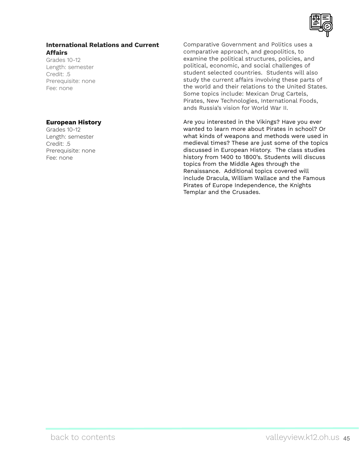

### **International Relations and Current Affairs**

Grades 10-12 Length: semester Credit: .5 Prerequisite: none Fee: none

#### **European History**

Grades 10-12 Length: semester Credit: .5 Prerequisite: none Fee: none

Comparative Government and Politics uses a comparative approach, and geopolitics, to examine the political structures, policies, and political, economic, and social challenges of student selected countries. Students will also study the current affairs involving these parts of the world and their relations to the United States. Some topics include: Mexican Drug Cartels, Pirates, New Technologies, International Foods, ands Russia's vision for World War II.

Are you interested in the Vikings? Have you ever wanted to learn more about Pirates in school? Or what kinds of weapons and methods were used in medieval times? These are just some of the topics discussed in European History. The class studies history from 1400 to 1800's. Students will discuss topics from the Middle Ages through the Renaissance. Additional topics covered will include Dracula, William Wallace and the Famous Pirates of Europe Independence, the Knights Templar and the Crusades.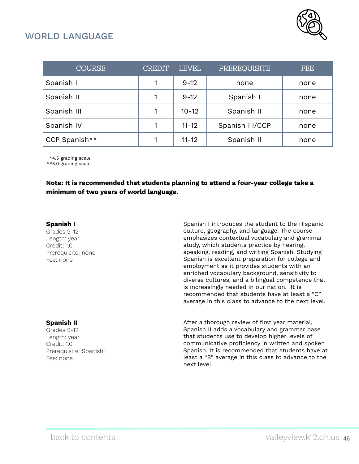

## <span id="page-45-0"></span>WORLD LANGUAGE

| <b>COURSE</b> | <b>CREDIT</b> | <b>LEVEL</b> | PREREQUISITE    | FEE  |
|---------------|---------------|--------------|-----------------|------|
| Spanish I     |               | $9 - 12$     | none            | none |
| Spanish II    |               | $9 - 12$     | Spanish I       | none |
| Spanish III   |               | $10 - 12$    | Spanish II      | none |
| Spanish IV    |               | $11 - 12$    | Spanish III/CCP | none |
| CCP Spanish** |               | $11 - 12$    | Spanish II      | none |

\*4.5 grading scale

\*\*5.0 grading scale

**Note: It is recommended that students planning to attend a four-year college take a minimum of two years of world language.**

#### **Spanish I**

Grades 9-12 Length: year Credit: 1.0 Prerequisite: none Fee: none

#### Spanish I introduces the student to the Hispanic culture, geography, and language. The course emphasizes contextual vocabulary and grammar study, which students practice by hearing, speaking, reading, and writing Spanish. Studying Spanish is excellent preparation for college and employment as it provides students with an enriched vocabulary background, sensitivity to diverse cultures, and a bilingual competence that is increasingly needed in our nation. It is recommended that students have at least a "C" average in this class to advance to the next level.

#### **Spanish II**

Grades 9-12 Length: year Credit: 1.0 Prerequisite: Spanish I Fee: none

After a thorough review of first year material, Spanish II adds a vocabulary and grammar base that students use to develop higher levels of communicative proficiency in written and spoken Spanish. It is recommended that students have at least a "B" average in this class to advance to the next level.